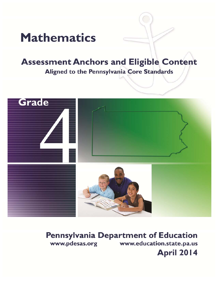# **Mathematics**

# **Assessment Anchors and Eligible Content** Aligned to the Pennsylvania Core Standards



# **Pennsylvania Department of Education** www.pdesas.org www.education.state.pa.us **April 2014**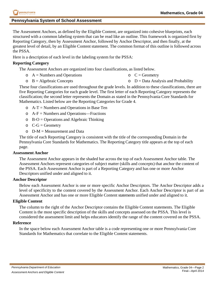# **Pennsylvania System of School Assessment**

The Assessment Anchors, as defined by the Eligible Content, are organized into cohesive blueprints, each structured with a common labeling system that can be read like an outline. This framework is organized first by Reporting Category, then by Assessment Anchor, followed by Anchor Descriptor, and then finally, at the greatest level of detail, by an Eligible Content statement. The common format of this outline is followed across the PSSA.

Here is a description of each level in the labeling system for the PSSA:

# **Reporting Category**

The Assessment Anchors are organized into four classifications, as listed below.

- $\circ$  A = Numbers and Operations  $C = Geometry$
- $\circ$  B = Algebraic Concepts  $\circ$  D = Data Analysis and Probability

These four classifications are used throughout the grade levels. In addition to these classifications, there are five Reporting Categories for each grade level. The first letter of each Reporting Category represents the classification; the second letter represents the Domain as stated in the Pennsylvania Core Standards for Mathematics. Listed below are the Reporting Categories for Grade 4.

- $\circ$  A-T = Numbers and Operations in Base Ten
- $\circ$  A-F = Numbers and Operations—Fractions
- $\circ$  B-O = Operations and Algebraic Thinking
- $\circ$  C-G = Geometry
- $O$  D-M = Measurement and Data

The title of each Reporting Category is consistent with the title of the corresponding Domain in the Pennsylvania Core Standards for Mathematics. The Reporting Category title appears at the top of each page.

# **Assessment Anchor**

The Assessment Anchor appears in the shaded bar across the top of each Assessment Anchor table. The Assessment Anchors represent categories of subject matter (skills and concepts) that anchor the content of the PSSA. Each Assessment Anchor is part of a Reporting Category and has one or more Anchor Descriptors unified under and aligned to it.

# **Anchor Descriptor**

Below each Assessment Anchor is one or more specific Anchor Descriptors. The Anchor Descriptor adds a level of specificity to the content covered by the Assessment Anchor. Each Anchor Descriptor is part of an Assessment Anchor and has one or more Eligible Content statements unified under and aligned to it.

# **Eligible Content**

The column to the right of the Anchor Descriptor contains the Eligible Content statements. The Eligible Content is the most specific description of the skills and concepts assessed on the PSSA. This level is considered the assessment limit and helps educators identify the range of the content covered on the PSSA.

# **Reference**

In the space below each Assessment Anchor table is a code representing one or more Pennsylvania Core Standards for Mathematics that correlate to the Eligible Content statements.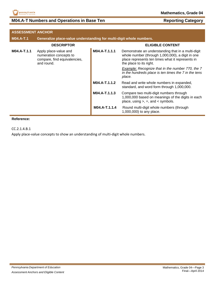

# **M04.A-T Numbers and Operations in Base Ten <b>Reporting Category**

| <b>ASSESSMENT ANCHOR</b> |                                                                                               |               |                                                                                                                                                                                       |
|--------------------------|-----------------------------------------------------------------------------------------------|---------------|---------------------------------------------------------------------------------------------------------------------------------------------------------------------------------------|
| <b>M04.A-T.1</b>         | Generalize place-value understanding for multi-digit whole numbers.                           |               |                                                                                                                                                                                       |
|                          | <b>DESCRIPTOR</b>                                                                             |               | <b>ELIGIBLE CONTENT</b>                                                                                                                                                               |
| M04.A-T.1.1              | Apply place-value and<br>numeration concepts to<br>compare, find equivalencies,<br>and round. | M04.A-T.1.1.1 | Demonstrate an understanding that in a multi-digit<br>whole number (through 1,000,000), a digit in one<br>place represents ten times what it represents in<br>the place to its right. |
|                          |                                                                                               |               | Example: Recognize that in the number 770, the 7<br>in the hundreds place is ten times the 7 in the tens<br>place.                                                                    |
|                          |                                                                                               | M04.A-T.1.1.2 | Read and write whole numbers in expanded,<br>standard, and word form through 1,000,000.                                                                                               |
|                          |                                                                                               | M04.A-T.1.1.3 | Compare two multi-digit numbers through<br>1,000,000 based on meanings of the digits in each<br>place, using $>$ , =, and < symbols.                                                  |
|                          |                                                                                               | M04.A-T.1.1.4 | Round multi-digit whole numbers (through<br>1,000,000) to any place.                                                                                                                  |

# **Reference:**

CC.2.1.4.B.1

Apply place-value concepts to show an understanding of multi-digit whole numbers.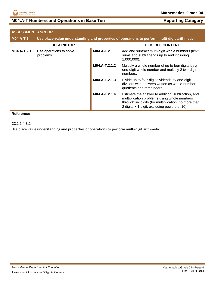

# **M04.A-T Numbers and Operations in Base Ten <b>Reporting Category**

| <b>ASSESSMENT ANCHOR</b> |                                      |               |                                                                                                                                                                                                          |
|--------------------------|--------------------------------------|---------------|----------------------------------------------------------------------------------------------------------------------------------------------------------------------------------------------------------|
| <b>M04.A-T.2</b>         |                                      |               | Use place-value understanding and properties of operations to perform multi-digit arithmetic.                                                                                                            |
|                          | <b>DESCRIPTOR</b>                    |               | <b>ELIGIBLE CONTENT</b>                                                                                                                                                                                  |
| M04.A-T.2.1              | Use operations to solve<br>problems. | M04.A-T.2.1.1 | Add and subtract multi-digit whole numbers (limit<br>sums and subtrahends up to and including<br>$1,000,000$ ).                                                                                          |
|                          |                                      | M04.A-T.2.1.2 | Multiply a whole number of up to four digits by a<br>one-digit whole number and multiply 2 two-digit<br>numbers.                                                                                         |
|                          |                                      | M04.A-T.2.1.3 | Divide up to four-digit dividends by one-digit<br>divisors with answers written as whole-number<br>quotients and remainders.                                                                             |
|                          |                                      | M04.A-T.2.1.4 | Estimate the answer to addition, subtraction, and<br>multiplication problems using whole numbers<br>through six digits (for multiplication, no more than<br>2 digits x 1 digit, excluding powers of 10). |

#### **Reference:**

CC.2.1.4.B.2

Use place value understanding and properties of operations to perform multi‐digit arithmetic.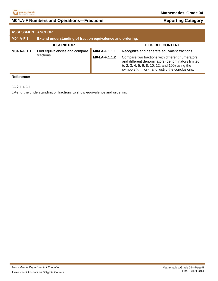

# **M04.A-F Numbers and Operations—Fractions <b>Reporting Category Reporting Category**

| <b>ASSESSMENT ANCHOR</b> |                                                            |               |                                                                                                                                                                                                                   |
|--------------------------|------------------------------------------------------------|---------------|-------------------------------------------------------------------------------------------------------------------------------------------------------------------------------------------------------------------|
| <b>M04.A-F.1</b>         | Extend understanding of fraction equivalence and ordering. |               |                                                                                                                                                                                                                   |
|                          | <b>DESCRIPTOR</b>                                          |               | <b>ELIGIBLE CONTENT</b>                                                                                                                                                                                           |
| M04.A-F.1.1              | Find equivalencies and compare                             | M04.A-F.1.1.1 | Recognize and generate equivalent fractions.                                                                                                                                                                      |
|                          | fractions.                                                 | M04.A-F.1.1.2 | Compare two fractions with different numerators<br>and different denominators (denominators limited<br>to 2, 3, 4, 5, 6, 8, 10, 12, and 100) using the<br>symbols $>$ , $=$ , or $<$ and justify the conclusions. |

#### **Reference:**

CC.2.1.4.C.1

Extend the understanding of fractions to show equivalence and ordering.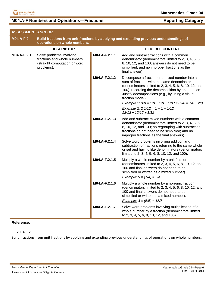

# **M04.A-F Numbers and Operations—Fractions Reporting Category**

| <b>ASSESSMENT ANCHOR</b> |                                                                                                                          |               |                                                                                                                                                                                                                                                                                   |
|--------------------------|--------------------------------------------------------------------------------------------------------------------------|---------------|-----------------------------------------------------------------------------------------------------------------------------------------------------------------------------------------------------------------------------------------------------------------------------------|
| <b>M04.A-F.2</b>         | Build fractions from unit fractions by applying and extending previous understandings of<br>operations on whole numbers. |               |                                                                                                                                                                                                                                                                                   |
|                          | <b>DESCRIPTOR</b>                                                                                                        |               | <b>ELIGIBLE CONTENT</b>                                                                                                                                                                                                                                                           |
| M04.A-F.2.1              | Solve problems involving<br>fractions and whole numbers<br>(straight computation or word<br>problems).                   | M04.A-F.2.1.1 | Add and subtract fractions with a common<br>denominator (denominators limited to 2, 3, 4, 5, 6,<br>8, 10, 12, and 100; answers do not need to be<br>simplified; and no improper fractions as the<br>final answer).                                                                |
|                          |                                                                                                                          | M04.A-F.2.1.2 | Decompose a fraction or a mixed number into a<br>sum of fractions with the same denominator<br>(denominators limited to 2, 3, 4, 5, 6, 8, 10, 12, and<br>100), recording the decomposition by an equation.<br>Justify decompositions (e.g., by using a visual<br>fraction model). |
|                          |                                                                                                                          |               | Example 1: $3/8 = 1/8 + 1/8 + 1/8$ OR $3/8 = 1/8 + 2/8$<br>Example 2: 2 $1/12 = 1 + 1 + 1/12 =$<br>$12/12 + 12/12 + 1/12$                                                                                                                                                         |
|                          |                                                                                                                          | M04.A-F.2.1.3 | Add and subtract mixed numbers with a common<br>denominator (denominators limited to 2, 3, 4, 5, 6,<br>8, 10, 12, and 100; no regrouping with subtraction;<br>fractions do not need to be simplified; and no<br>improper fractions as the final answers).                         |
|                          |                                                                                                                          | M04.A-F.2.1.4 | Solve word problems involving addition and<br>subtraction of fractions referring to the same whole<br>or set and having like denominators (denominators<br>limited to 2, 3, 4, 5, 6, 8, 10, 12, and 100).                                                                         |
|                          |                                                                                                                          | M04.A-F.2.1.5 | Multiply a whole number by a unit fraction<br>(denominators limited to 2, 3, 4, 5, 6, 8, 10, 12, and<br>100 and final answers do not need to be<br>simplified or written as a mixed number).<br>Example: $5 \times (1/4) = 5/4$                                                   |
|                          |                                                                                                                          | M04.A-F.2.1.6 | Multiply a whole number by a non-unit fraction<br>(denominators limited to 2, 3, 4, 5, 6, 8, 10, 12, and<br>100 and final answers do not need to be<br>simplified or written as a mixed number).<br>Example: $3 \times (5/6) = 15/6$                                              |
|                          |                                                                                                                          | M04.A-F.2.1.7 | Solve word problems involving multiplication of a<br>whole number by a fraction (denominators limited<br>to 2, 3, 4, 5, 6, 8, 10, 12, and 100).                                                                                                                                   |

# **Reference:**

CC.2.1.4.C.2

Build fractions from unit fractions by applying and extending previous understandings of operations on whole numbers.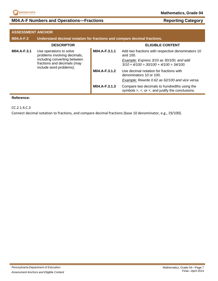

# **M04.A-F Numbers and Operations—Fractions <b>Reporting Category Reporting Category**

| <b>ASSESSMENT ANCHOR</b>                                                               |                                                                          |                                                                                        |                                                                                                             |
|----------------------------------------------------------------------------------------|--------------------------------------------------------------------------|----------------------------------------------------------------------------------------|-------------------------------------------------------------------------------------------------------------|
| <b>M04.A-F.3</b>                                                                       | Understand decimal notation for fractions and compare decimal fractions. |                                                                                        |                                                                                                             |
|                                                                                        | <b>DESCRIPTOR</b>                                                        |                                                                                        | <b>ELIGIBLE CONTENT</b>                                                                                     |
| M04.A-F.3.1                                                                            | Use operations to solve<br>problems involving decimals,                  | M04.A-F.3.1.1                                                                          | Add two fractions with respective denominators 10<br>and 100.                                               |
| including converting between<br>fractions and decimals (may<br>include word problems). |                                                                          | Example: Express 3/10 as 30/100, and add<br>$3/10 + 4/100 = 30/100 + 4/100 = 34/100$ . |                                                                                                             |
|                                                                                        | M04.A-F.3.1.2                                                            | Use decimal notation for fractions with<br>denominators 10 or 100.                     |                                                                                                             |
|                                                                                        |                                                                          |                                                                                        | Example: Rewrite 0.62 as 62/100 and vice versa.                                                             |
|                                                                                        |                                                                          | M04.A-F.3.1.3                                                                          | Compare two decimals to hundredths using the<br>symbols $>$ , $=$ , or $\lt$ , and justify the conclusions. |

#### **Reference:**

CC.2.1.4.C.3

Connect decimal notation to fractions, and compare decimal fractions (base 10 denominator, e.g., 19/100).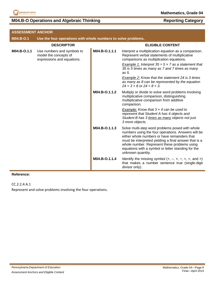

# **M04.B-O Operations and Algebraic Thinking <b>Reporting Category Reporting Category**

| <b>ASSESSMENT ANCHOR</b> |                                                                                   |               |                                                                                                                                                                                                                                                                                                                                           |
|--------------------------|-----------------------------------------------------------------------------------|---------------|-------------------------------------------------------------------------------------------------------------------------------------------------------------------------------------------------------------------------------------------------------------------------------------------------------------------------------------------|
| M04.B-O.1                | Use the four operations with whole numbers to solve problems.                     |               |                                                                                                                                                                                                                                                                                                                                           |
|                          | <b>DESCRIPTOR</b>                                                                 |               | <b>ELIGIBLE CONTENT</b>                                                                                                                                                                                                                                                                                                                   |
| M04.B-O.1.1              | Use numbers and symbols to<br>model the concepts of<br>expressions and equations. | M04.B-O.1.1.1 | Interpret a multiplication equation as a comparison.<br>Represent verbal statements of multiplicative<br>comparisons as multiplication equations.                                                                                                                                                                                         |
|                          |                                                                                   |               | <b>Example 1:</b> Interpret $35 = 5 \times 7$ as a statement that<br>35 is 5 times as many as 7 and 7 times as many<br>as 5.                                                                                                                                                                                                              |
|                          |                                                                                   |               | Example 2: Know that the statement 24 is 3 times<br>as many as 8 can be represented by the equation<br>$24 = 3 \times 8$ or $24 = 8 \times 3$ .                                                                                                                                                                                           |
|                          |                                                                                   | M04.B-O.1.1.2 | Multiply or divide to solve word problems involving<br>multiplicative comparison, distinguishing<br>multiplicative comparison from additive<br>comparison.                                                                                                                                                                                |
|                          |                                                                                   |               | Example: Know that $3 \times 4$ can be used to<br>represent that Student A has 4 objects and<br>Student B has 3 times as many objects not just<br>3 more objects.                                                                                                                                                                         |
|                          |                                                                                   | M04.B-O.1.1.3 | Solve multi-step word problems posed with whole<br>numbers using the four operations. Answers will be<br>either whole numbers or have remainders that<br>must be interpreted yielding a final answer that is a<br>whole number. Represent these problems using<br>equations with a symbol or letter standing for the<br>unknown quantity. |
|                          |                                                                                   | M04.B-O.1.1.4 | Identify the missing symbol $(+, -, x, \div, =, <, and >)$<br>that makes a number sentence true (single-digit<br>divisor only).                                                                                                                                                                                                           |
|                          |                                                                                   |               |                                                                                                                                                                                                                                                                                                                                           |

# **Reference:**

CC.2.2.4.A.1

Represent and solve problems involving the four operations.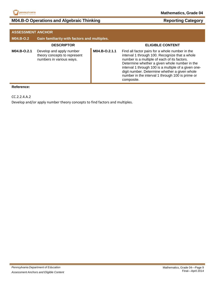

# **M04.B-O Operations and Algebraic Thinking <b>Reporting Category Reporting Category**

| <b>ASSESSMENT ANCHOR</b> |                                                                                      |               |                                                                                                                                                                                                                                                                                                                                                                               |
|--------------------------|--------------------------------------------------------------------------------------|---------------|-------------------------------------------------------------------------------------------------------------------------------------------------------------------------------------------------------------------------------------------------------------------------------------------------------------------------------------------------------------------------------|
| <b>M04.B-O.2</b>         | Gain familiarity with factors and multiples.                                         |               |                                                                                                                                                                                                                                                                                                                                                                               |
|                          | <b>DESCRIPTOR</b>                                                                    |               | <b>ELIGIBLE CONTENT</b>                                                                                                                                                                                                                                                                                                                                                       |
| M04.B-O.2.1              | Develop and apply number<br>theory concepts to represent<br>numbers in various ways. | M04.B-O.2.1.1 | Find all factor pairs for a whole number in the<br>interval 1 through 100. Recognize that a whole<br>number is a multiple of each of its factors.<br>Determine whether a given whole number in the<br>interval 1 through 100 is a multiple of a given one-<br>digit number. Determine whether a given whole<br>number in the interval 1 through 100 is prime or<br>composite. |

# **Reference:**

CC.2.2.4.A.2

Develop and/or apply number theory concepts to find factors and multiples.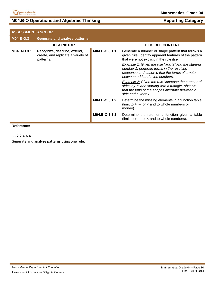

# **M04.B-O Operations and Algebraic Thinking <b>Reporting Category Reporting Category**

| <b>ASSESSMENT ANCHOR</b> |                                                                                 |               |                                                                                                                                                                                   |
|--------------------------|---------------------------------------------------------------------------------|---------------|-----------------------------------------------------------------------------------------------------------------------------------------------------------------------------------|
| M04.B-O.3                | Generate and analyze patterns.                                                  |               |                                                                                                                                                                                   |
|                          | <b>DESCRIPTOR</b>                                                               |               | <b>ELIGIBLE CONTENT</b>                                                                                                                                                           |
| M04.B-O.3.1              | Recognize, describe, extend,<br>create, and replicate a variety of<br>patterns. | M04.B-O.3.1.1 | Generate a number or shape pattern that follows a<br>given rule. Identify apparent features of the pattern<br>that were not explicit in the rule itself.                          |
|                          |                                                                                 |               | Example 1: Given the rule "add 3" and the starting<br>number 1, generate terms in the resulting<br>sequence and observe that the terms alternate<br>between odd and even numbers. |
|                          |                                                                                 |               | Example 2: Given the rule "increase the number of<br>sides by 1" and starting with a triangle, observe<br>that the tops of the shapes alternate between a<br>side and a vertex.   |
|                          |                                                                                 | M04.B-O.3.1.2 | Determine the missing elements in a function table<br>(limit to $+$ , $-$ , or $\times$ and to whole numbers or<br>money).                                                        |
|                          |                                                                                 | M04.B-O.3.1.3 | Determine the rule for a function given a table<br>(limit to $+$ , $-$ , or $\times$ and to whole numbers).                                                                       |
|                          |                                                                                 |               |                                                                                                                                                                                   |

**Reference:**

CC.2.2.4.A.4

Generate and analyze patterns using one rule.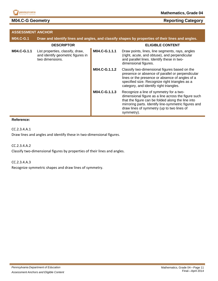

# **M04.C-G Geometry**

| <b>ASSESSMENT ANCHOR</b> |                                                                                          |               |                                                                                                                                                                                                                                                                         |
|--------------------------|------------------------------------------------------------------------------------------|---------------|-------------------------------------------------------------------------------------------------------------------------------------------------------------------------------------------------------------------------------------------------------------------------|
| <b>M04.C-G.1</b>         |                                                                                          |               | Draw and identify lines and angles, and classify shapes by properties of their lines and angles.                                                                                                                                                                        |
|                          | <b>DESCRIPTOR</b>                                                                        |               | <b>ELIGIBLE CONTENT</b>                                                                                                                                                                                                                                                 |
| M04.C-G.1.1              | List properties, classify, draw,<br>and identify geometric figures in<br>two dimensions. | M04.C-G.1.1.1 | Draw points, lines, line segments, rays, angles<br>(right, acute, and obtuse), and perpendicular<br>and parallel lines. Identify these in two-<br>dimensional figures.                                                                                                  |
|                          |                                                                                          | M04.C-G.1.1.2 | Classify two-dimensional figures based on the<br>presence or absence of parallel or perpendicular<br>lines or the presence or absence of angles of a<br>specified size. Recognize right triangles as a<br>category, and identify right triangles.                       |
|                          |                                                                                          | M04.C-G.1.1.3 | Recognize a line of symmetry for a two-<br>dimensional figure as a line across the figure such<br>that the figure can be folded along the line into<br>mirroring parts. Identify line-symmetric figures and<br>draw lines of symmetry (up to two lines of<br>symmetry). |

#### **Reference:**

CC.2.3.4.A.1

Draw lines and angles and identify these in two-dimensional figures.

CC.2.3.4.A.2

Classify two-dimensional figures by properties of their lines and angles.

CC.2.3.4.A.3

Recognize symmetric shapes and draw lines of symmetry.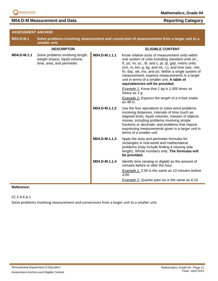

**M04.D-M Measurement and Data Reporting Category Reporting Category** 

| <b>ASSESSMENT ANCHOR</b> |                                                                                                 |               |                                                                                                                                                                                                                                                                                                                                                                                                                 |
|--------------------------|-------------------------------------------------------------------------------------------------|---------------|-----------------------------------------------------------------------------------------------------------------------------------------------------------------------------------------------------------------------------------------------------------------------------------------------------------------------------------------------------------------------------------------------------------------|
| M04.D-M.1                | smaller unit.                                                                                   |               | Solve problems involving measurement and conversion of measurements from a larger unit to a                                                                                                                                                                                                                                                                                                                     |
|                          | <b>DESCRIPTOR</b>                                                                               |               | <b>ELIGIBLE CONTENT</b>                                                                                                                                                                                                                                                                                                                                                                                         |
| M04.D-M.1.1              | Solve problems involving length,<br>weight (mass), liquid volume,<br>time, area, and perimeter. | M04.D-M.1.1.1 | Know relative sizes of measurement units within<br>one system of units including standard units (in.,<br>ft, yd, mi; oz., lb; and c, pt, qt, gal), metric units<br>(cm, m, km; g, kg; and mL, L), and time (sec, min,<br>hr, day, wk, mo, and yr). Within a single system of<br>measurement, express measurements in a larger<br>unit in terms of a smaller unit. A table of<br>equivalencies will be provided. |
|                          |                                                                                                 |               | <b>Example 1:</b> Know that 1 kg is 1,000 times as<br>heavy as 1 g.                                                                                                                                                                                                                                                                                                                                             |
|                          |                                                                                                 |               | <b>Example 2:</b> Express the length of a 4-foot snake<br>as 48 in.                                                                                                                                                                                                                                                                                                                                             |
|                          |                                                                                                 | M04.D-M.1.1.2 | Use the four operations to solve word problems<br>involving distances, intervals of time (such as<br>elapsed time), liquid volumes, masses of objects;<br>money, including problems involving simple<br>fractions or decimals; and problems that require<br>expressing measurements given in a larger unit in<br>terms of a smaller unit.                                                                       |
|                          |                                                                                                 | M04.D-M.1.1.3 | Apply the area and perimeter formulas for<br>rectangles in real-world and mathematical<br>problems (may include finding a missing side<br>length). Whole numbers only. The formulas will<br>be provided.                                                                                                                                                                                                        |
|                          |                                                                                                 | M04.D-M.1.1.4 | Identify time (analog or digital) as the amount of<br>minutes before or after the hour.                                                                                                                                                                                                                                                                                                                         |
|                          |                                                                                                 |               | Example 1: 2:50 is the same as 10 minutes before<br>3:00.                                                                                                                                                                                                                                                                                                                                                       |
|                          |                                                                                                 |               | <b>Example 2:</b> Quarter past six is the same as 6:15.                                                                                                                                                                                                                                                                                                                                                         |

#### **Reference:**

CC.2.4.4.A.1

Solve problems involving measurement and conversions from a larger unit to a smaller unit.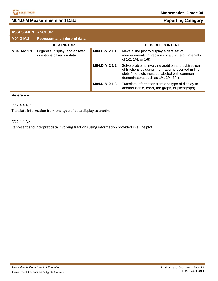

# **M04.D-M Measurement and Data Reporting Category Reporting Category**

| <b>ASSESSMENT ANCHOR</b> |                                                           |               |                                                                                                                                                                                                    |
|--------------------------|-----------------------------------------------------------|---------------|----------------------------------------------------------------------------------------------------------------------------------------------------------------------------------------------------|
| <b>M04.D-M.2</b>         | Represent and interpret data.                             |               |                                                                                                                                                                                                    |
|                          | <b>DESCRIPTOR</b>                                         |               | <b>ELIGIBLE CONTENT</b>                                                                                                                                                                            |
| M04.D-M.2.1              | Organize, display, and answer<br>questions based on data. | M04.D-M.2.1.1 | Make a line plot to display a data set of<br>measurements in fractions of a unit (e.g., intervals<br>of 1/2, 1/4, or 1/8).                                                                         |
|                          |                                                           | M04.D-M.2.1.2 | Solve problems involving addition and subtraction<br>of fractions by using information presented in line<br>plots (line plots must be labeled with common<br>denominators, such as 1/4, 2/4, 3/4). |
|                          |                                                           | M04.D-M.2.1.3 | Translate information from one type of display to<br>another (table, chart, bar graph, or pictograph).                                                                                             |

#### **Reference:**

CC.2.4.4.A.2

Translate information from one type of data display to another.

#### CC.2.4.4.A.4

Represent and interpret data involving fractions using information provided in a line plot.